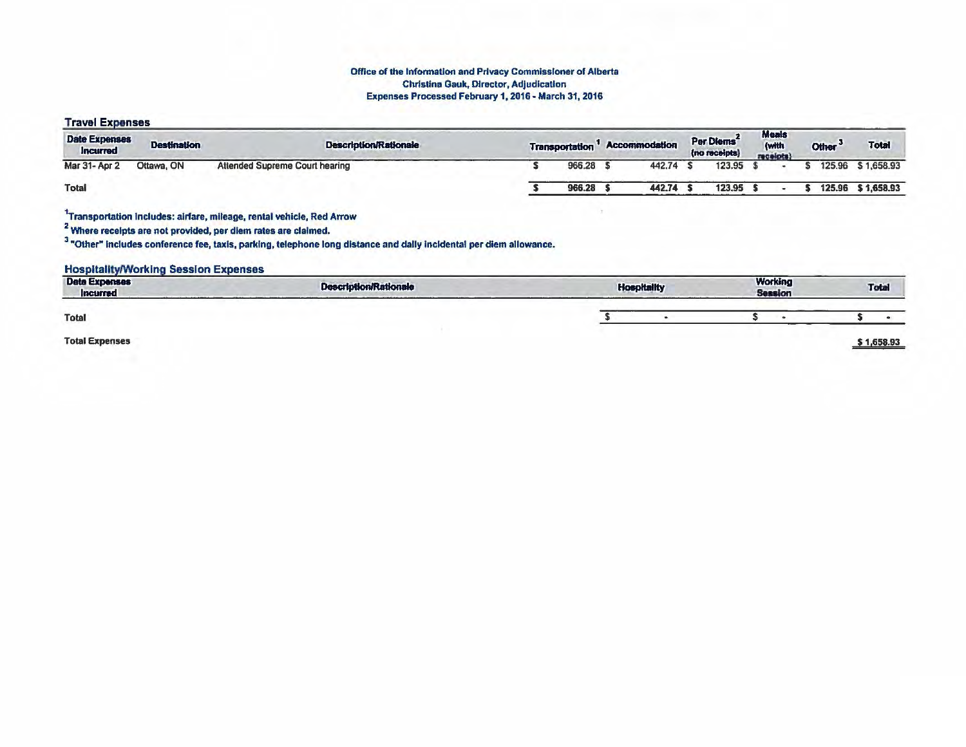## Office of the Information and Privacy Commissioner of Alberta Christina Gauk, Director, Adjudication Expenses Processed February 1, 2016 - March 31, 2016

## **Travel Expenses**

| <b>Date Expenses</b><br><b>Incurred</b> | <b>Destination</b> | <b>Description/Rationale</b>          | <b>Transportation</b> | <b>Accommodation</b> | Per Diems <sup>*</sup><br>(no receipts) | <b>Meals</b><br>(with<br>receipts) | Other <sup>3</sup> | <b>Total</b>      |
|-----------------------------------------|--------------------|---------------------------------------|-----------------------|----------------------|-----------------------------------------|------------------------------------|--------------------|-------------------|
| Mar 31- Apr 2                           | Ottawa, ON         | <b>Attended Supreme Court hearing</b> | 966.28                | 442.74               | 123.95                                  |                                    |                    | 125.96 \$1,658.93 |
| <b>Total</b>                            |                    |                                       | 966.28                | 442.74               | 123.95                                  |                                    |                    | 125.96 \$1,658.93 |

# <sup>1</sup>Transportation includes: airfare, mileage, rental vehicle, Red Arrow

<sup>2</sup> Where receipts are not provided, per diem rates are claimed.

<sup>3</sup> "Other" includes conference fee, taxis, parking, telephone long distance and dally incidental per diem allowance.

#### **Hospitality/Working Session Expenses**

| <b>Date Expenses</b><br>Incurred | <b>Description/Rationale</b> | <b>Hospitality</b> |  | <b>Total</b> |  |
|----------------------------------|------------------------------|--------------------|--|--------------|--|
| <b>Total</b>                     |                              |                    |  |              |  |
| <b>Total Expenses</b>            |                              |                    |  | \$1,658.93   |  |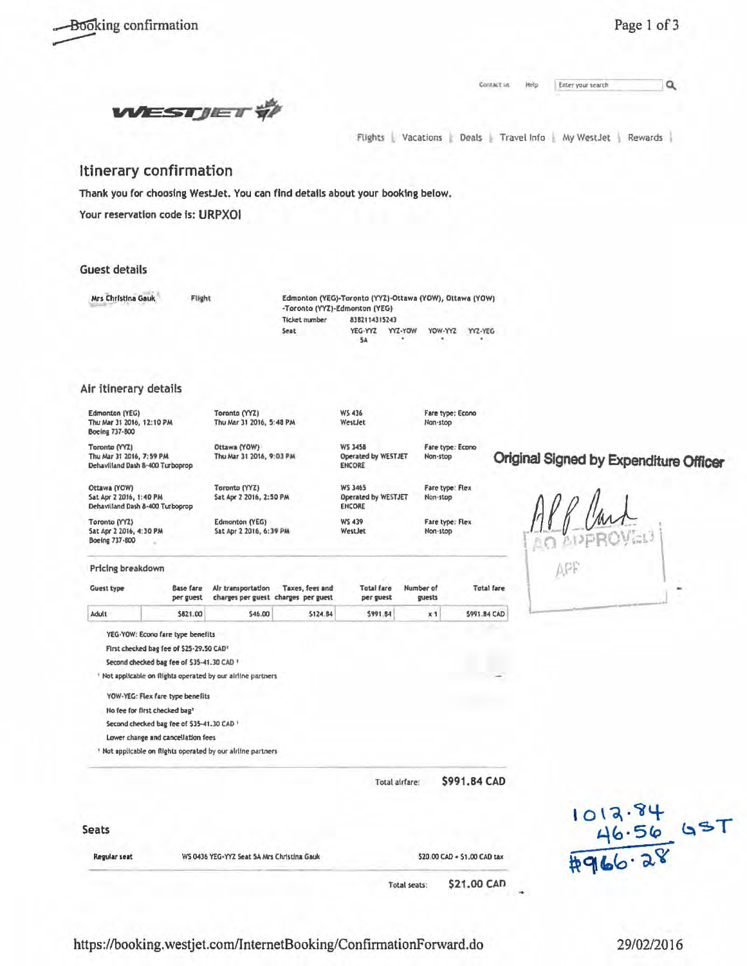-Booking confirmation

| <b>Booking confirmation</b>                                                            |                                                                                |                                                                                                                                                                           | Page 1 of 3                            |
|----------------------------------------------------------------------------------------|--------------------------------------------------------------------------------|---------------------------------------------------------------------------------------------------------------------------------------------------------------------------|----------------------------------------|
|                                                                                        |                                                                                |                                                                                                                                                                           |                                        |
|                                                                                        |                                                                                | CONTACT US<br>Help.                                                                                                                                                       | ۹<br>Enter your search                 |
| 5577/E                                                                                 |                                                                                |                                                                                                                                                                           |                                        |
|                                                                                        |                                                                                | Vacations<br>Flights                                                                                                                                                      | Deals Travel Info My West Jet Rewards  |
| Itinerary confirmation                                                                 |                                                                                |                                                                                                                                                                           |                                        |
|                                                                                        | Thank you for choosing WestJet. You can find details about your booking below. |                                                                                                                                                                           |                                        |
| Your reservation code is: URPXOI                                                       |                                                                                |                                                                                                                                                                           |                                        |
| <b>Guest details</b>                                                                   |                                                                                |                                                                                                                                                                           |                                        |
|                                                                                        |                                                                                |                                                                                                                                                                           |                                        |
| Mrs Christina Gauk<br>Flight                                                           | Ticket number<br>Seat                                                          | Edmonton (YEG)-Toronto (YYZ)-Ottawa (YOW), Ottawa (YOW)<br>-Toronta (YYZ)-Edmonton (YEG)<br>8382114315243<br>YEG-YYZ<br><b>YYZ-YOW</b><br>YOW-YYZ<br>YYZ-YEG<br><b>5A</b> |                                        |
| Air itinerary details                                                                  |                                                                                |                                                                                                                                                                           |                                        |
| <b>Edmonton (YEG)</b><br>Thu Mar 31 2016, 12:10 PM<br>Boeing 737-800                   | Toronto (YYZ)<br>Thu Mar 31 2016, 5:48 PM                                      | WS 436<br>Fare type: Econo<br>WestJet<br>Nan-stop                                                                                                                         |                                        |
| Toronto (YYZ)<br>Thu Mar 31 2016, 7:59 PM.<br>Dehavilland Dash 8-400 Turboprop         | Ottawa (YOW)<br>Thu Mar 31 2016, 9:03 PM                                       | WS 3458<br>Fare type: Econo<br>Operated by WESTJET<br>Non-stop<br><b>ENCORE</b>                                                                                           | Original Signed by Expenditure Officer |
| Ottawa (YOW)<br>Sat Apr 2 2016, 1:40 PM<br>Dehavilland Dash 8-400 Turboprop            | Toronto (YYZ)<br>Sat Apr 2 2016, 2:50 PM                                       | WS 3465<br>Fare type: Flex<br>Operated by WESTJET<br>Non-stop<br><b>ENCORE</b>                                                                                            |                                        |
| Toronto (YYZ)<br>Sat Apr 2 2016, 4:30 PM<br>Boeing 737-800                             | Edmonton (YEG)<br>Sat Apr 2 2016, 6:39 PM                                      | <b>WS 439</b><br>Fare type: Flex<br>WestJet<br>Non-stop                                                                                                                   |                                        |
| Pricing breakdown                                                                      |                                                                                |                                                                                                                                                                           | APE                                    |
| <b>Guest type</b><br><b>Base fare</b><br>per guest                                     | Air transportation<br>Taxes, fees and<br>charges per guest charges per guest   | <b>Total fare</b><br>Number of<br><b>Total fare</b><br>per guest<br>guests                                                                                                |                                        |
| Adult<br>\$821.00                                                                      | \$124.84<br>\$46.00                                                            | 5991.84 CAD<br>\$991.84<br>x1                                                                                                                                             |                                        |
| YEG-YOW: Econo fare type benefits                                                      |                                                                                |                                                                                                                                                                           |                                        |
| First checked bag fee of \$25-29.50 CAD!<br>Second checked bag fee of \$35-41.30 CAD 1 |                                                                                |                                                                                                                                                                           |                                        |
| <sup>*</sup> Not applicable on flights operated by our airline partners                |                                                                                |                                                                                                                                                                           |                                        |
| YOW-YEG: Flex fare type benefits                                                       |                                                                                |                                                                                                                                                                           |                                        |
| No fee for first checked bag"                                                          |                                                                                |                                                                                                                                                                           |                                        |
| Second checked bag fee of \$35-41.30 CAD \<br>Lower change and cancellation fees       |                                                                                |                                                                                                                                                                           |                                        |
| " Not applicable on flights operated by our alriine partners                           |                                                                                |                                                                                                                                                                           |                                        |
|                                                                                        |                                                                                | \$991,84 CAD<br>Total airfare:                                                                                                                                            |                                        |
|                                                                                        |                                                                                |                                                                                                                                                                           |                                        |
| Seats                                                                                  |                                                                                |                                                                                                                                                                           |                                        |
| Regular seat                                                                           | WS 0436 YEG-YYZ Seat 5A Mrs Christina Gauk                                     | 520.00 CAD + 51.00 CAD tax                                                                                                                                                | $1013.84$ GST<br>46.56 GST             |
|                                                                                        |                                                                                |                                                                                                                                                                           |                                        |

https://booking.westjet.com/InternetBooking/ConfirmationForward.do

29/02/2016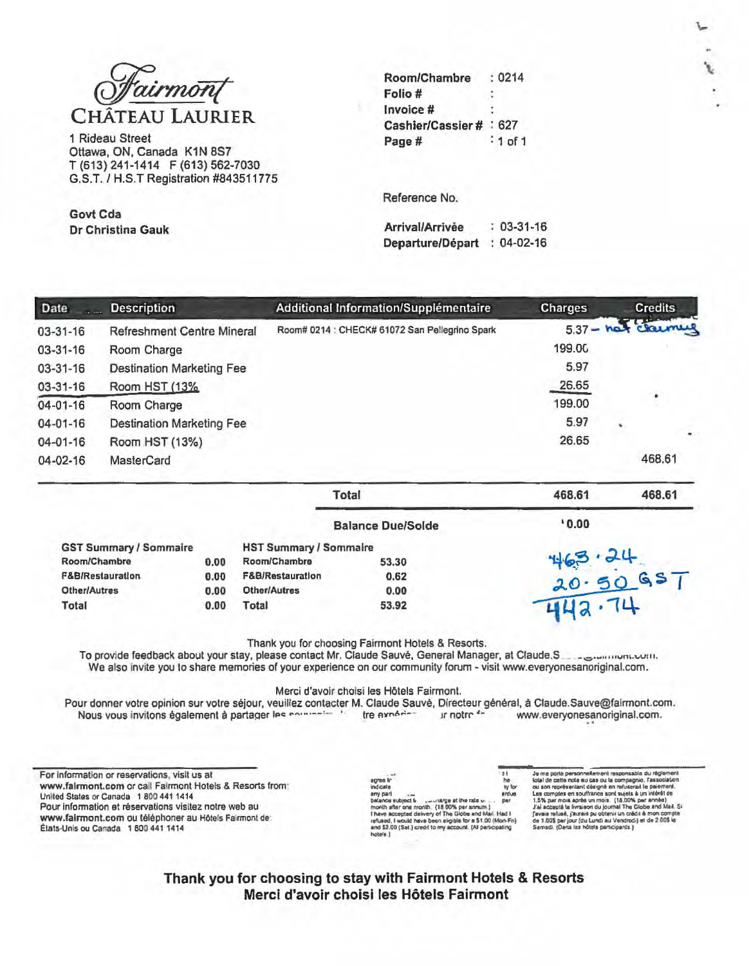

1 Rideau Street **Page #** : 1 of 1 Ottawa, ON, Canada K1N 6S7 T (613) 241-1414 F (613) 562-7030 G.S.T. I H.S.T Registration #843511775

Govt Cda Dr Christina Gauk

| Room/Chambre            | : 0214    |
|-------------------------|-----------|
| Folio #                 |           |
| Invoice #               |           |
| Cashier/Cassier # : 627 |           |
| Page #                  | $:1$ of 1 |

Reference No.

| Arrival/Arrivée  | $: 03 - 31 - 16$ |
|------------------|------------------|
| Departure/Départ | $: 04-02-16$     |

| Date           | <b>Description</b>               | Additional Information/Supplémentaire          | <b>Charges</b>                            | <b>Credits</b>      |
|----------------|----------------------------------|------------------------------------------------|-------------------------------------------|---------------------|
| $03-31-16$     | Refreshment Centre Mineral       | Room# 0214 : CHECK# 61072 San Pellegrino Spark |                                           | 5.37 - hat claiming |
| $03 - 31 - 16$ | Room Charge                      |                                                | 199.00                                    |                     |
| $03-31-16$     | <b>Destination Marketing Fee</b> |                                                | 5.97                                      |                     |
| $03 - 31 - 16$ | Room HST (13%                    |                                                | 26.65                                     |                     |
| $04 - 01 - 16$ | Room Charge                      |                                                | 199.00                                    |                     |
| $04 - 01 - 16$ | <b>Destination Marketing Fee</b> |                                                | 5.97                                      |                     |
| $04 - 01 - 16$ | Room HST (13%)                   |                                                | 26.65                                     |                     |
| $04 - 02 - 16$ | MasterCard                       |                                                |                                           | 468.61              |
|                |                                  | Total                                          | 468.61                                    | 468.61              |
|                |                                  | <b>Balance Due/Solde</b>                       | 0.00                                      |                     |
|                | <b>GST Summary / Sommaire</b>    | <b>HST Summary / Sommaire</b>                  | $\sim$ $\sim$ $\sim$ $\sim$ $\sim$ $\sim$ |                     |

| <b>POST OPHIMALY / OPHIMALS</b> |      | <b>HOT OMINIBITY I OUTINIANS</b> |       |         |
|---------------------------------|------|----------------------------------|-------|---------|
| Room/Chambre                    | 0.00 | Room/Chambre                     | 53.30 | 463.24  |
| <b>F&amp;B/Restauration</b>     | 0.00 | <b>F&amp;B/Restauration</b>      | 0.62  | 20.5065 |
| Other/Autres                    | 0.00 | <b>Other/Autres</b>              | 0.00  |         |
| Total                           | 0.00 | Total                            | 53.92 | 442.74  |
|                                 |      |                                  |       |         |

# Thank you for choosing Fairmont Hotels & Resorts.

To provide feedback about your stay, please contact Mr. Claude Sauve, General Manager, at Claude.\$ \_. --=-•W"'"vm.w <sup>11</sup> 1. We also invite you to share memories of your experience on our community forum - visit www.everyonesanoriginal.com.

Merci d'avoir choisi les Hôtels Fairmont.

Pour donner votre opinion sur votre séjour, veuillez contacter M. Claude Sauvé, Directeur général, à Claude.Sauve@fairmont.com.<br>Nous vous invitons également à partager les sourcesses interesses in notre feature environnes Nous vous invitons également à partager les entremente \*

For Information or reservations. visit us at www.falrmont.com or call Fatrmont Hotels & Resorts from· United States or Canada 1 BOO 441 1414 Pour information et réservations visitez notre web au www.fairmont.com ou téléphoner au Hôtels Fairmont de: États-Unis ou Canada 1800 441 1414

 $\begin{array}{c} 11 \\ \hline \text{ht} \\ \text{ty for} \end{array}$ egree in the result of the result of the result of the result of the result of the result of the result of the eny part • - - --<br>pelance subject & - - - - - verge at the rate v• • Pitch<br>month after one month. (18 00% per annum.) month after one month. (18.00% per.annum.)<br>I have accepted delivery of The Globe and Mail. Had I<br>refused, I would have been eligible for a \$1.00 (Mon-Fn). and \$2.00 (Set.) credit to my account. (Al participating

Je me porte personnellement responsable du régiement louis de catte code au care paçais, l'association du son représentant désigné en refuscant le paiement.<br>Les comples en souffrances sont sujets à un intérêt de<br>Les compl

\-

p

"

Thank you for choosing to stay with Fairmont Hotels & Resorts Merci d'avoir choisi les Hotels Fairmont